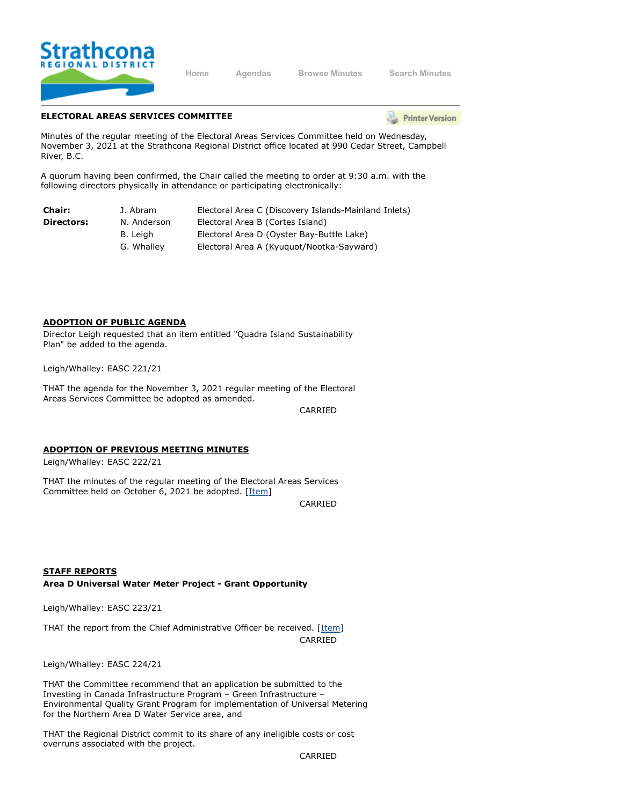

**[Home](https://srd.ca/) [Agendas](https://agenda.strathconard.ca/srdboardmeetings/content.asp?id=80) [Browse Minutes](https://agenda.strathconard.ca/srdboardmeetings/content.asp?id=81) [Search Minutes](https://agenda.strathconard.ca/srdboardmeetings/index.aspx)**

# **ELECTORAL AREAS SERVICES COMMITTEE**

**Printer Version** 

Minutes of the regular meeting of the Electoral Areas Services Committee held on Wednesday, November 3, 2021 at the Strathcona Regional District office located at 990 Cedar Street, Campbell River, B.C.

A quorum having been confirmed, the Chair called the meeting to order at 9:30 a.m. with the following directors physically in attendance or participating electronically:

| <b>Chair:</b> | J. Abram    | Electoral Area C (Discovery Islands-Mainland Inlets) |
|---------------|-------------|------------------------------------------------------|
| Directors:    | N. Anderson | Electoral Area B (Cortes Island)                     |
|               | B. Leiah    | Electoral Area D (Oyster Bay-Buttle Lake)            |
|               | G. Whalley  | Electoral Area A (Kyuguot/Nootka-Sayward)            |

#### **ADOPTION OF PUBLIC AGENDA**

Director Leigh requested that an item entitled "Quadra Island Sustainability Plan" be added to the agenda.

Leigh/Whalley: EASC 221/21

THAT the agenda for the November 3, 2021 regular meeting of the Electoral Areas Services Committee be adopted as amended.

CARRIED

#### **ADOPTION OF PREVIOUS MEETING MINUTES**

Leigh/Whalley: EASC 222/21

THAT the minutes of the regular meeting of the Electoral Areas Services Committee held on October 6, 2021 be adopted. [[Item\]](https://agenda.strathconard.ca/SRDAttachments/SRDCommittees/Open/EAS/03-Nov-21/20211006-EASC-MINUTES_1.pdf)

CARRIED

**STAFF REPORTS Area D Universal Water Meter Project - Grant Opportunity**

Leigh/Whalley: EASC 223/21

THAT the report from the Chief Administrative Officer be received. [[Item](https://agenda.strathconard.ca/SRDAttachments/SRDCommittees/Open/EAS/03-Nov-21/20211028-Northern-Area-D-Universal-Metering-Program-Grant-Opportunity.PDF)] CARRIED

Leigh/Whalley: EASC 224/21

THAT the Committee recommend that an application be submitted to the Investing in Canada Infrastructure Program – Green Infrastructure – Environmental Quality Grant Program for implementation of Universal Metering for the Northern Area D Water Service area, and

THAT the Regional District commit to its share of any ineligible costs or cost overruns associated with the project.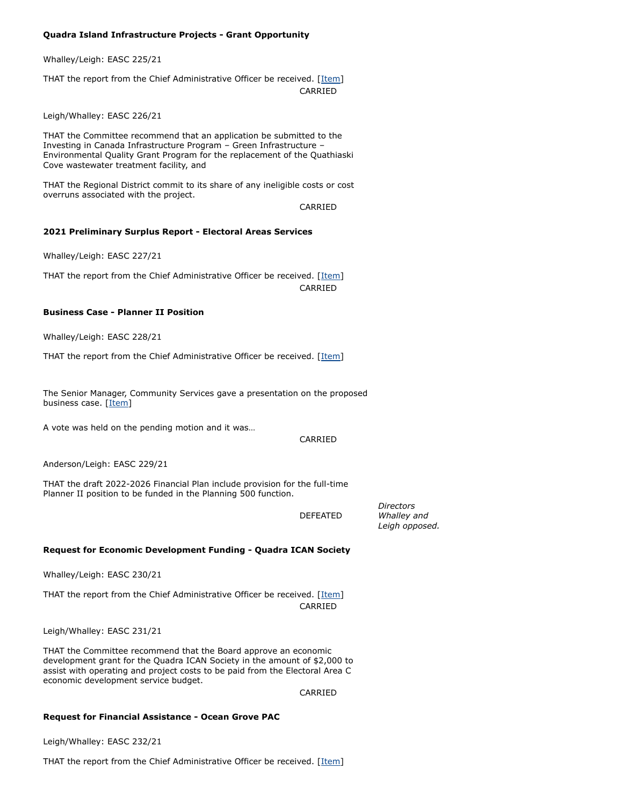### **Quadra Island Infrastructure Projects - Grant Opportunity**

Whalley/Leigh: EASC 225/21

THAT the report from the Chief Administrative Officer be received. [[Item](https://agenda.strathconard.ca/SRDAttachments/SRDCommittees/Open/EAS/03-Nov-21/20211028-Area-C-Infrastructure-Program-Grant-Application.PDF)] CARRIED

Leigh/Whalley: EASC 226/21

THAT the Committee recommend that an application be submitted to the Investing in Canada Infrastructure Program – Green Infrastructure – Environmental Quality Grant Program for the replacement of the Quathiaski Cove wastewater treatment facility, and

THAT the Regional District commit to its share of any ineligible costs or cost overruns associated with the project.

CARRIED

#### **2021 Preliminary Surplus Report - Electoral Areas Services**

Whalley/Leigh: EASC 227/21

THAT the report from the Chief Administrative Officer be received. [[Item](https://agenda.strathconard.ca/SRDAttachments/SRDCommittees/Open/EAS/03-Nov-21/20211027-2021-Prelim-Surplus-Report-EASC.PDF)] CARRIED

### **Business Case - Planner II Position**

Whalley/Leigh: EASC 228/21

THAT the report from the Chief Administrative Officer be received. [[Item](https://agenda.strathconard.ca/SRDAttachments/SRDCommittees/Open/EAS/03-Nov-21/20211029-Business-Case---Planner-II-Postion.PDF)]

The Senior Manager, Community Services gave a presentation on the proposed business case. [\[Item\]](https://agenda.strathconard.ca/SRDAttachments/SRDCommittees/Open/EAS/03-Nov-21/20211103_FINAL_Powerpoint_PlannerII_FundingReAllocationBusinessCase.pdf)

A vote was held on the pending motion and it was…

CARRIED

Anderson/Leigh: EASC 229/21

THAT the draft 2022-2026 Financial Plan include provision for the full-time Planner II position to be funded in the Planning 500 function.

DEFEATED

*Directors Whalley and Leigh opposed.*

#### **Request for Economic Development Funding - Quadra ICAN Society**

Whalley/Leigh: EASC 230/21

THAT the report from the Chief Administrative Officer be received. [[Item](https://agenda.strathconard.ca/SRDAttachments/SRDCommittees/Open/EAS/03-Nov-21/20211029-Request-for-EcDev-Funds---Quadra-ICAN.PDF)] CARRIED

Leigh/Whalley: EASC 231/21

THAT the Committee recommend that the Board approve an economic development grant for the Quadra ICAN Society in the amount of \$2,000 to assist with operating and project costs to be paid from the Electoral Area C economic development service budget.

CARRIED

#### **Request for Financial Assistance - Ocean Grove PAC**

Leigh/Whalley: EASC 232/21

THAT the report from the Chief Administrative Officer be received. [[Item](https://agenda.strathconard.ca/SRDAttachments/SRDCommittees/Open/EAS/03-Nov-21/20211025-Request-for-GIA---OG-PAC.PDF)]